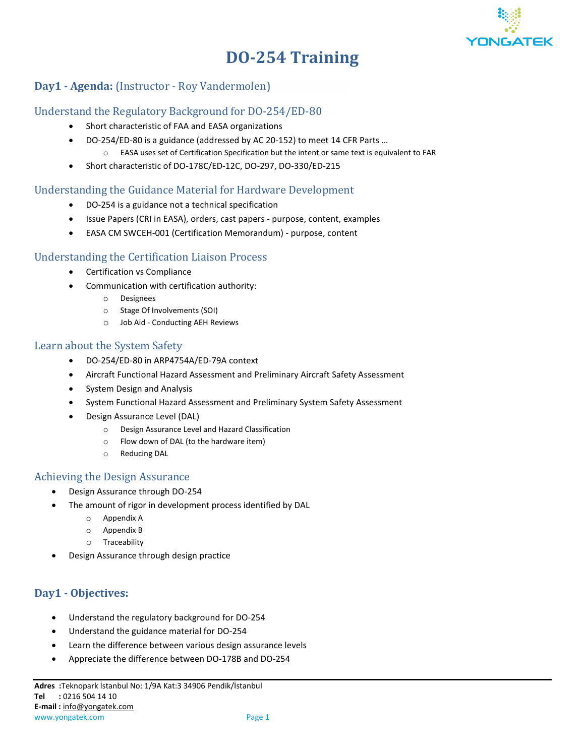

# **DO-254 Training**

## **Day1 · Agenda:** (Instructor - Roy Vandermolen)

#### Understand the Regulatory Background for DO-254/ED-80

- Short characteristic of FAA and EASA organizations
- DO-254/ED-80 is a guidance (addressed by AC 20-152) to meet 14 CFR Parts … o EASA uses set of Certification Specification but the intent or same text is equivalent to FAR
- Short characteristic of DO-178C/ED-12C, DO-297, DO-330/ED-215

#### Understanding the Guidance Material for Hardware Development

- DO-254 is a guidance not a technical specification
- Issue Papers (CRI in EASA), orders, cast papers purpose, content, examples
- EASA CM SWCEH-001 (Certification Memorandum) purpose, content

### Understanding the Certification Liaison Process

- Certification vs Compliance
- Communication with certification authority:
	- o Designees
	- o Stage Of Involvements (SOI)
	- o Job Aid Conducting AEH Reviews

#### Learn about the System Safety

- DO-254/ED-80 in ARP4754A/ED-79A context
- Aircraft Functional Hazard Assessment and Preliminary Aircraft Safety Assessment
- System Design and Analysis
- System Functional Hazard Assessment and Preliminary System Safety Assessment
- Design Assurance Level (DAL)
	- o Design Assurance Level and Hazard Classification
	- o Flow down of DAL (to the hardware item)
	- o Reducing DAL

#### Achieving the Design Assurance

- Design Assurance through DO-254
- The amount of rigor in development process identified by DAL
	- o Appendix A
	- o Appendix B
	- o Traceability
- Design Assurance through design practice

## **Day1 - Objectives:**

- Understand the regulatory background for DO-254
- Understand the guidance material for DO-254
- Learn the difference between various design assurance levels
- Appreciate the difference between DO-178B and DO-254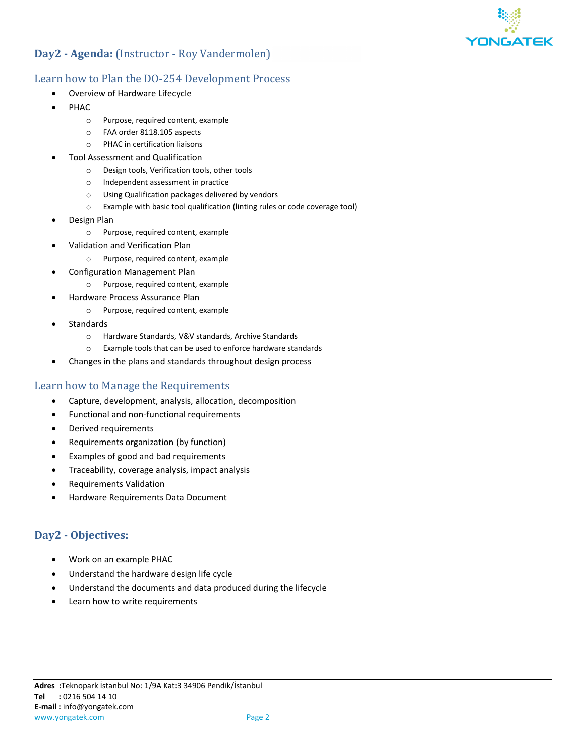

## **Day2 - Agenda:** (Instructor - Roy Vandermolen)

### Learn how to Plan the DO-254 Development Process

- Overview of Hardware Lifecycle
- PHAC
	- o Purpose, required content, example
	- o FAA order 8118.105 aspects
	- o PHAC in certification liaisons
- Tool Assessment and Qualification
	- o Design tools, Verification tools, other tools
	- o Independent assessment in practice
	- o Using Qualification packages delivered by vendors
	- o Example with basic tool qualification (linting rules or code coverage tool)
- Design Plan
	- o Purpose, required content, example
- Validation and Verification Plan
	- o Purpose, required content, example
- Configuration Management Plan
	- o Purpose, required content, example
- Hardware Process Assurance Plan
	- o Purpose, required content, example
- **Standards** 
	- o Hardware Standards, V&V standards, Archive Standards
	- o Example tools that can be used to enforce hardware standards
- Changes in the plans and standards throughout design process

#### Learn how to Manage the Requirements

- Capture, development, analysis, allocation, decomposition
- Functional and non-functional requirements
- Derived requirements
- Requirements organization (by function)
- Examples of good and bad requirements
- Traceability, coverage analysis, impact analysis
- Requirements Validation
- Hardware Requirements Data Document

#### **Day2 - Objectives:**

- Work on an example PHAC
- Understand the hardware design life cycle
- Understand the documents and data produced during the lifecycle
- Learn how to write requirements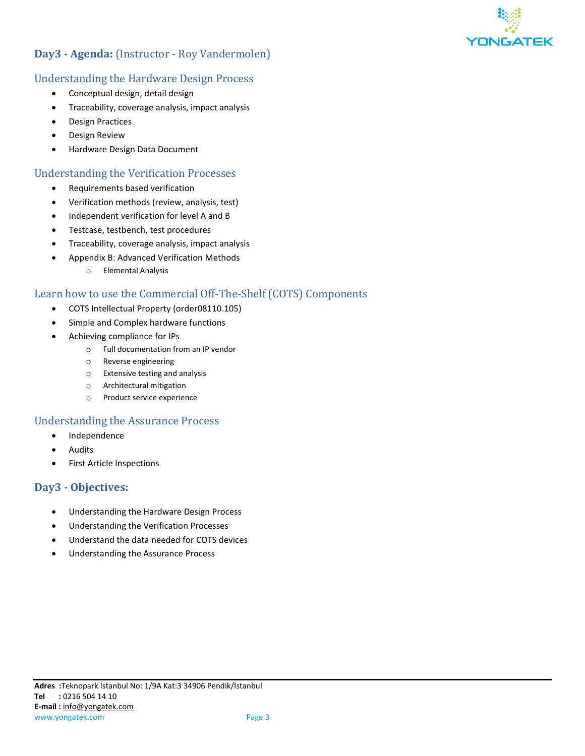

## **Day3 - Agenda:** (Instructor - Roy Vandermolen)

### Understanding the Hardware Design Process

- Conceptual design, detail design
- Traceability, coverage analysis, impact analysis
- Design Practices
- Design Review
- Hardware Design Data Document

#### Understanding the Verification Processes

- Requirements based verification
- Verification methods (review, analysis, test)
- Independent verification for level A and B
- Testcase, testbench, test procedures
- Traceability, coverage analysis, impact analysis
- Appendix B: Advanced Verification Methods
	- o Elemental Analysis

## Learn how to use the Commercial Off-The-Shelf (COTS) Components

- COTS Intellectual Property (order08110.105)
- Simple and Complex hardware functions
- Achieving compliance for IPs
	- o Full documentation from an IP vendor
	- o Reverse engineering
	- o Extensive testing and analysis
	- o Architectural mitigation
	- o Product service experience

#### Understanding the Assurance Process

- **Independence**
- Audits
- First Article Inspections

#### **Day3 - Objectives:**

- Understanding the Hardware Design Process
- Understanding the Verification Processes
- Understand the data needed for COTS devices
- Understanding the Assurance Process